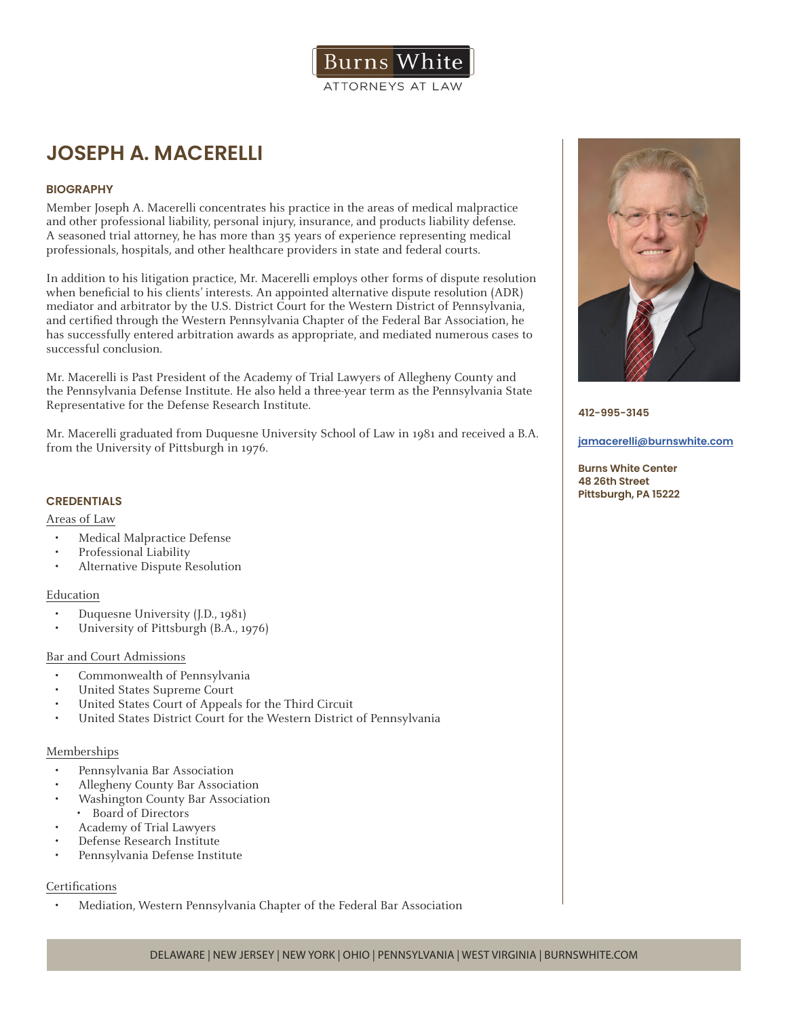

# **JOSEPH A. MACERELLI**

# **BIOGRAPHY**

Member Joseph A. Macerelli concentrates his practice in the areas of medical malpractice and other professional liability, personal injury, insurance, and products liability defense. A seasoned trial attorney, he has more than 35 years of experience representing medical professionals, hospitals, and other healthcare providers in state and federal courts.

In addition to his litigation practice, Mr. Macerelli employs other forms of dispute resolution when beneficial to his clients' interests. An appointed alternative dispute resolution (ADR) mediator and arbitrator by the U.S. District Court for the Western District of Pennsylvania, and certified through the Western Pennsylvania Chapter of the Federal Bar Association, he has successfully entered arbitration awards as appropriate, and mediated numerous cases to successful conclusion.

Mr. Macerelli is Past President of the Academy of Trial Lawyers of Allegheny County and the Pennsylvania Defense Institute. He also held a three-year term as the Pennsylvania State Representative for the Defense Research Institute.

Mr. Macerelli graduated from Duquesne University School of Law in 1981 and received a B.A. from the University of Pittsburgh in 1976.

# **CREDENTIALS**

#### Areas of Law

- Medical Malpractice Defense
- Professional Liability
- Alternative Dispute Resolution

#### Education

- Duquesne University (J.D., 1981)
- University of Pittsburgh (B.A., 1976)

#### Bar and Court Admissions

- Commonwealth of Pennsylvania
- United States Supreme Court
- United States Court of Appeals for the Third Circuit
- United States District Court for the Western District of Pennsylvania

#### Memberships

- Pennsylvania Bar Association
- Allegheny County Bar Association
- Washington County Bar Association
- Board of Directors
- Academy of Trial Lawyers
- Defense Research Institute
- Pennsylvania Defense Institute

# **Certifications**

• Mediation, Western Pennsylvania Chapter of the Federal Bar Association



**412-995-3145**

#### **jamacerelli@burnswhite.com**

**Burns White Center 48 26th Street Pittsburgh, PA 15222**